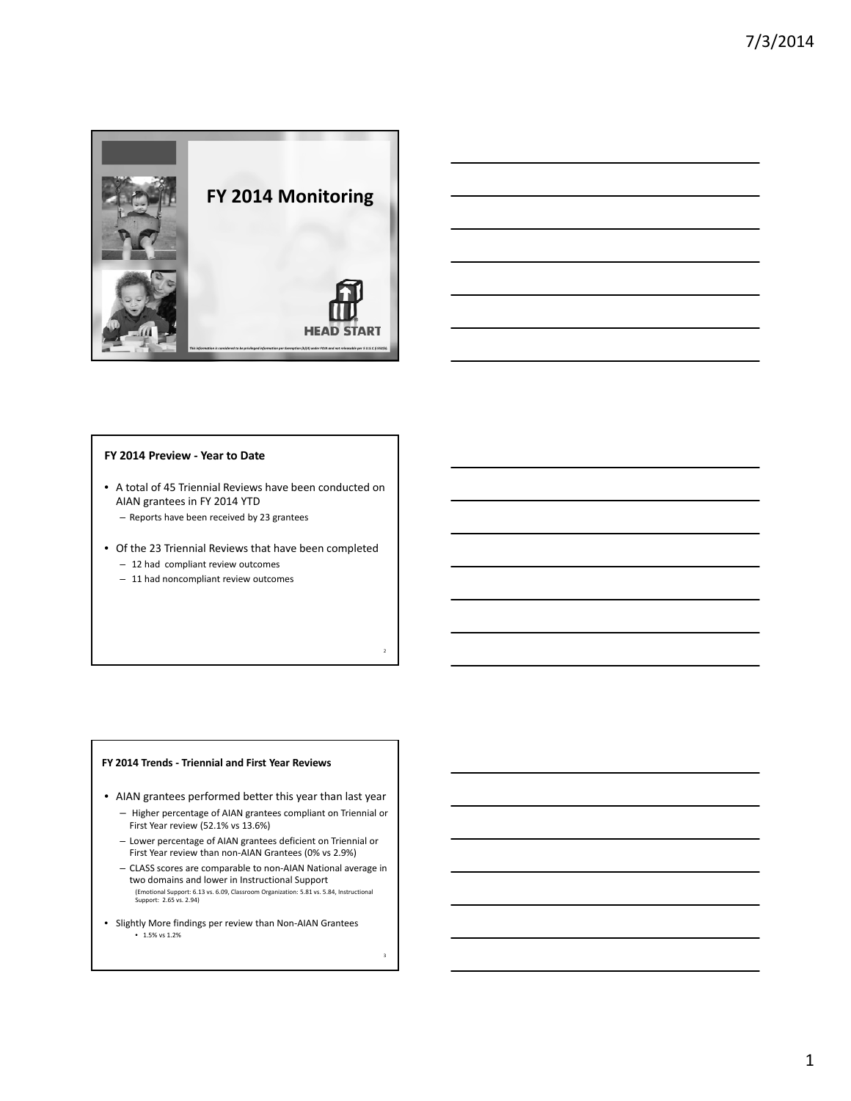



#### **FY 2014 Preview ‐ Year to Date**

- A total of 45 Triennial Reviews have been conducted on AIAN grantees in FY 2014 YTD
	- Reports have been received by 23 grantees
- Of the 23 Triennial Reviews that have been completed
	- 12 had compliant review outcomes
	- 11 had noncompliant review outcomes

#### **FY 2014 Trends ‐ Triennial and First Year Reviews**

- AIAN grantees performed better this year than last year
	- Higher percentage of AIAN grantees compliant on Triennial or First Year review (52.1% vs 13.6%)
	- Lower percentage of AIAN grantees deficient on Triennial or First Year review than non-AIAN Grantees (0% vs 2.9%)
	- CLASS scores are comparable to non‐AIAN National average in two domains and lower in Instructional Support (Emotional Support: 6.13 vs. 6.09, Classroom Organization: 5.81 vs. 5.84, Instructional Support: 2.65 vs. 2.94)
- Slightly More findings per review than Non‐AIAN Grantees • 1.5% vs 1.2%

3

2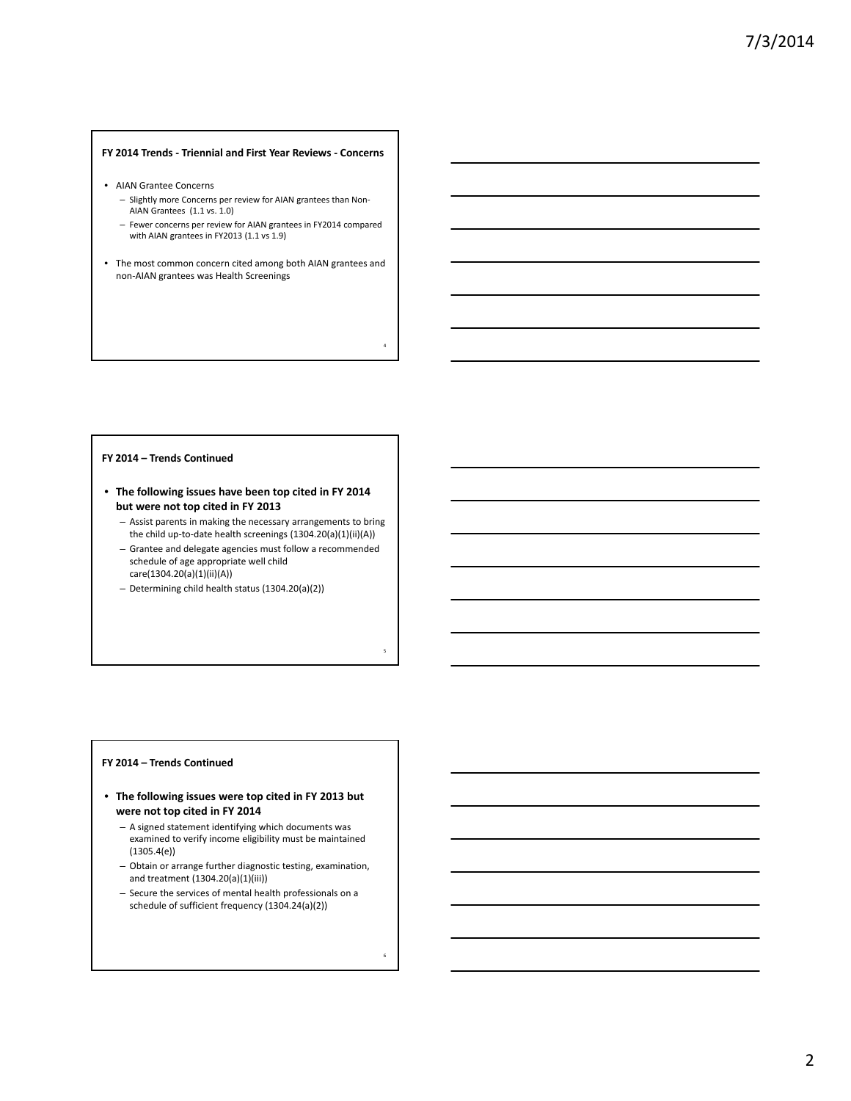# **FY 2014 Trends ‐ Triennial and First Year Reviews ‐ Concerns**

- AIAN Grantee Concerns
	- Slightly more Concerns per review for AIAN grantees than Non‐ AIAN Grantees (1.1 vs. 1.0)
	- Fewer concerns per review for AIAN grantees in FY2014 compared with AIAN grantees in FY2013 (1.1 vs 1.9)
- The most common concern cited among both AIAN grantees and non‐AIAN grantees was Health Screenings

4

5

6

#### **FY 2014 – Trends Continued**

- **The following issues have been top cited in FY 2014 but were not top cited in FY 2013**
	- Assist parents in making the necessary arrangements to bring the child up-to-date health screenings (1304.20(a)(1)(ii)(A)) – Grantee and delegate agencies must follow a recommended schedule of age appropriate well child care(1304.20(a)(1)(ii)(A))
	- Determining child health status (1304.20(a)(2))

#### **FY 2014 – Trends Continued**

- **The following issues were top cited in FY 2013 but were not top cited in FY 2014**
	- A signed statement identifying which documents was examined to verify income eligibility must be maintained  $(1305.4(e))$
	- Obtain or arrange further diagnostic testing, examination, and treatment (1304.20(a)(1)(iii))
	- Secure the services of mental health professionals on a schedule of sufficient frequency (1304.24(a)(2))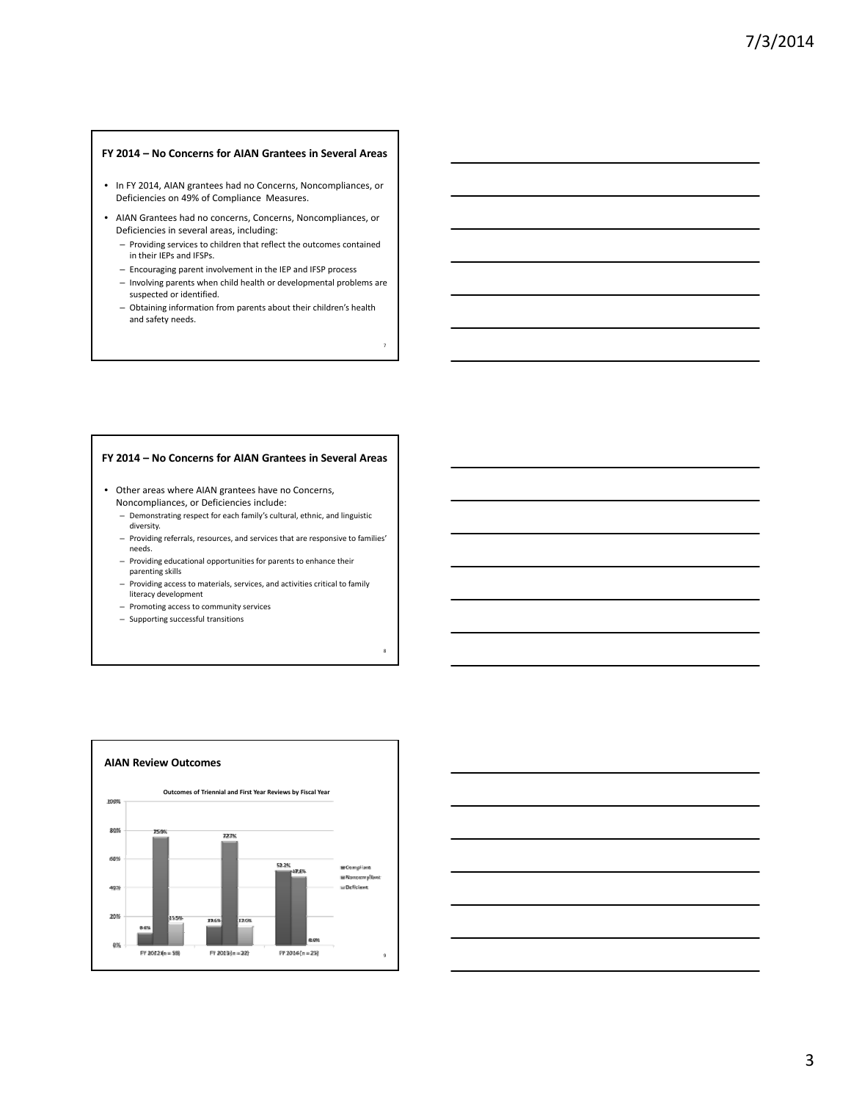#### **FY 2014 – No Concerns for AIAN Grantees in Several Areas**

- In FY 2014, AIAN grantees had no Concerns, Noncompliances, or Deficiencies on 49% of Compliance Measures.
- AIAN Grantees had no concerns, Concerns, Noncompliances, or Deficiencies in several areas, including:
	- Providing services to children that reflect the outcomes contained in their IEPs and IFSPs.
	- Encouraging parent involvement in the IEP and IFSP process
	- Involving parents when child health or developmental problems are suspected or identified.

7

8

– Obtaining information from parents about their children's health and safety needs.

#### **FY 2014 – No Concerns for AIAN Grantees in Several Areas**

- Other areas where AIAN grantees have no Concerns, Noncompliances, or Deficiencies include:
	- Demonstrating respect for each family's cultural, ethnic, and linguistic diversity.
	- Providing referrals, resources, and services that are responsive to families' needs.
	- Providing educational opportunities for parents to enhance their parenting skills
	- Providing access to materials, services, and activities critical to family literacy development
	- Promoting access to community services
	- Supporting successful transitions



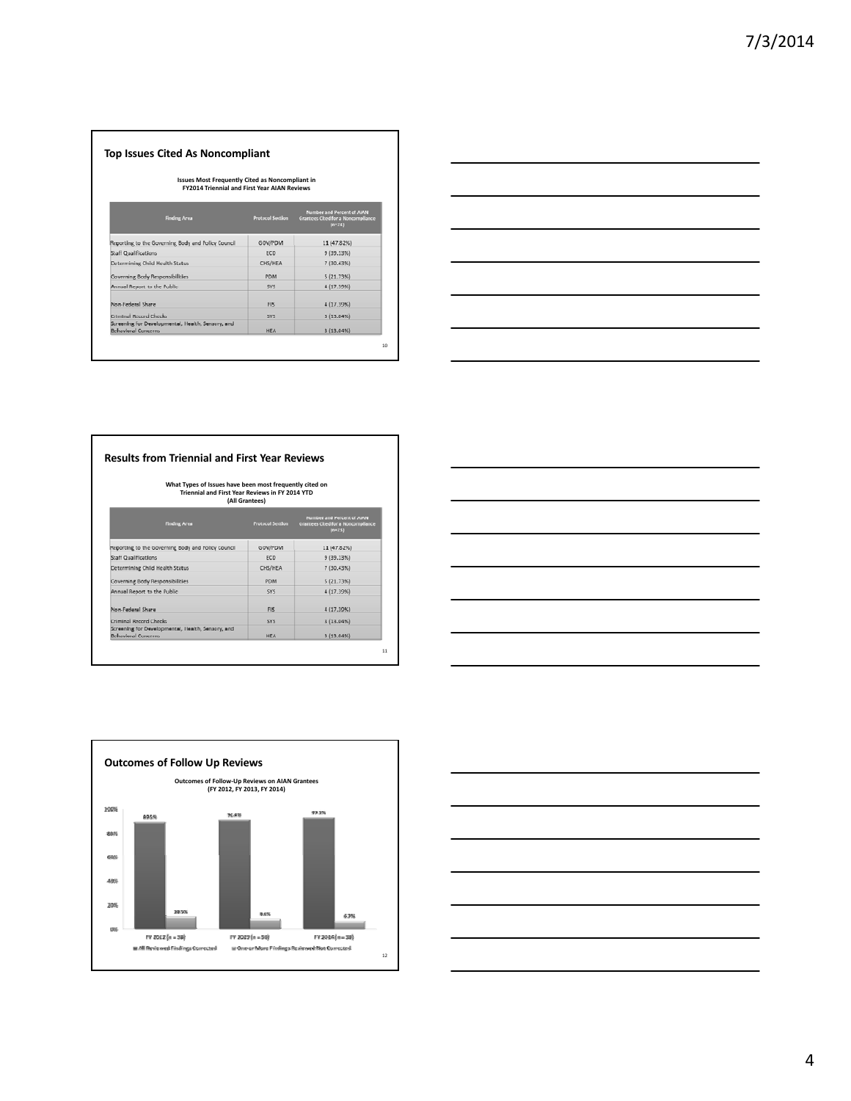# **Top Issues Cited As Noncompliant**

# **Issues Most Frequently Cited as Noncompliant in FY2014 Triennial and First Year AIAN Reviews**

| <b>Finding Area</b>                                                             | <b>Protocol Section</b> | Number and Percent of AIAN<br><b>Grantees Cited for a Noncompilance</b><br>$(n-2k)$ |
|---------------------------------------------------------------------------------|-------------------------|-------------------------------------------------------------------------------------|
| Reporting to the Governing Body and Policy Council                              | GOV/PDM                 | 11 (47.82%)                                                                         |
| <b>Staff Qualifications</b>                                                     | ECD                     | 9(39.13%)                                                                           |
| Determining Child Health Status                                                 | CHS/HEA                 | 7 (30,43%)                                                                          |
| Governing Body Responsibilities                                                 | PDM                     | 5(21.73%)                                                                           |
| Annual Report to the Public                                                     | SYS.                    | 4 (17.39%)                                                                          |
| Non-Federal Share                                                               | FIS                     | 4 (17.39%)                                                                          |
| Criminal Record Checks                                                          | <b>SVE</b>              | 3(13.04%)                                                                           |
| Screening for Developmental, Health, Sensory, and<br><b>Behavioral Concerns</b> | <b>HEA</b>              | 3 (13.04%)                                                                          |



# **Results from Triennial and First Year Reviews**

# What Types of Issues have been most frequently cited on<br>Triennial and First Year Reviews in FY 2014 YTD<br>(All Grantees)

| <b>Finding Area</b>                                                             | <b>Protocol Section</b> | Number and Percent of AIAN<br>Grantees Cited for a Noncompilance<br>$[n=23]$ |
|---------------------------------------------------------------------------------|-------------------------|------------------------------------------------------------------------------|
| Reporting to the Governing Body and Policy Council                              | GOV/PDM                 | 11 (47.82%)                                                                  |
| Staff Qualifications                                                            | <b>ECD</b>              | 9(39.13%)                                                                    |
| Determining Child Health Status                                                 | CHS/HEA                 | 7 (30,43%)                                                                   |
| Governing Body Responsibilities                                                 | PDM                     | 5(21.73%)                                                                    |
| Annual Report to the Public                                                     | <b>SYS</b>              | 4 (17.39%)                                                                   |
| Non-Federal Share                                                               | FIS:                    | 4 (17.30%)                                                                   |
| Criminal Record Checks                                                          | SYS.                    | 3(13.04%)                                                                    |
| Screening for Developmental, Health, Sensory, and<br><b>Rehavioral Concerns</b> | <b>HEA</b>              | 3(13.04%                                                                     |





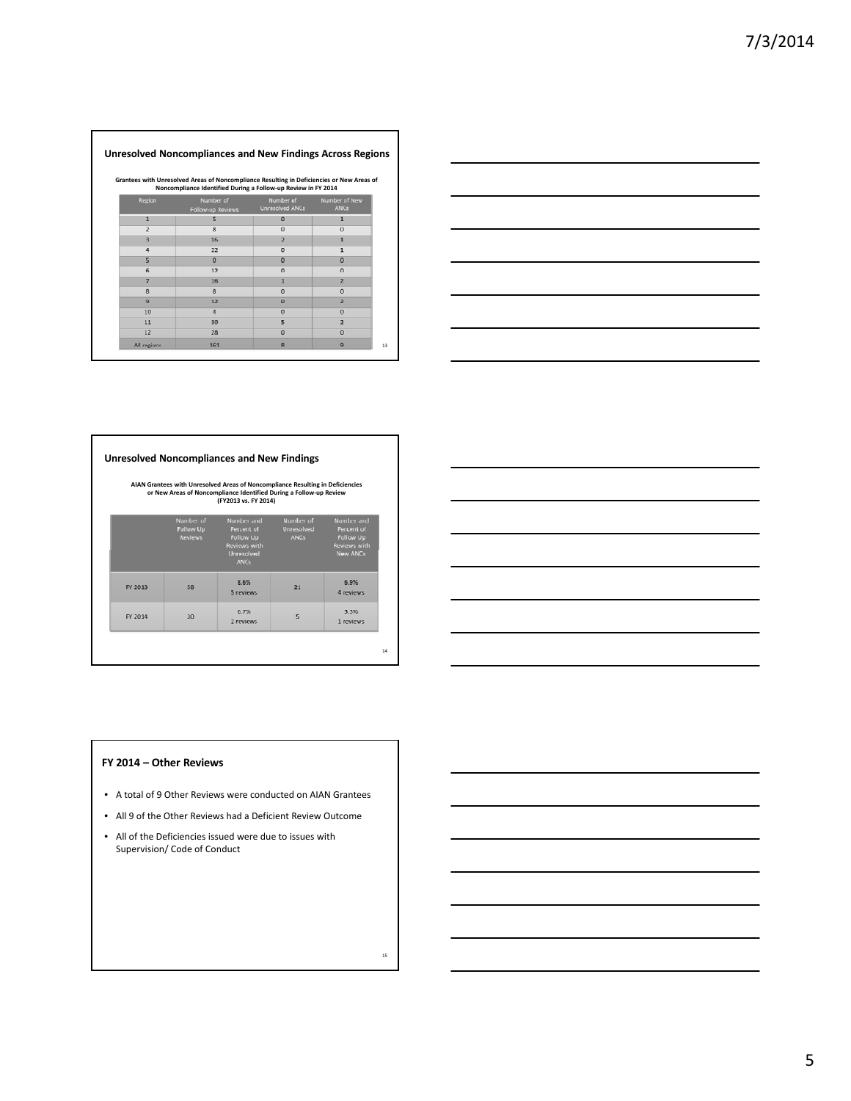# **Unresolved Noncompliances and New Findings Across Regions**

Grantees with Unresolved Areas of Noncompliance Resulting in Deficiencies or New Areas of<br>Noncompliance Identified During a Follow-up Review in FY 2014

| Region         | Number of<br>Follow-up Reviews | Number of<br>Unresolved ANCs | Number of New<br><b>ANCs</b> |
|----------------|--------------------------------|------------------------------|------------------------------|
| 1              | 5                              | $\Omega$                     | 1                            |
| $\overline{z}$ | $\overline{\mathbf{8}}$        | $\Omega$                     | $\Omega$                     |
| $\overline{3}$ | 16                             | $\overline{2}$               | $\mathbf{1}$                 |
| 4              | 22                             | $\mathbf{O}$                 | $\mathbf{1}$                 |
| 5              | $\Omega$                       | $\Omega$                     | $\overline{0}$               |
| 6              | 12                             | $\circ$                      | $\Omega$                     |
| 7              | 16                             | $\mathbf{1}$                 | $\overline{2}$               |
| $\mathbf{s}$   | 8                              | $\theta$                     | $\circ$                      |
| $\mathbf{9}$   | 12                             | $\circ$                      | $\overline{2}$               |
| 10             | $\overline{a}$                 | $\Omega$                     | $\circ$                      |
| 11             | 30                             | 5                            | $\overline{2}$               |
| 12             | 28                             | $\circ$                      | $\circ$                      |
| All regions    | 161                            | $\mathbf{R}$                 | $\mathbf{Q}$                 |



# **Unresolved Noncompliances and New Findings**

AIAN Grantees with Unresolved Areas of Noncompliance Resulting in Deficiencies<br>or New Areas of Noncompliance Identified During a Follow-up Review<br>FY2013 vs. FY 2014)

|         | Number of<br>Follow Up<br><b>Reviews</b> | Number and<br>Percent of<br>Follow Up<br>Reviews with<br>Unresolved<br><b>ANCs</b> | Number of<br>Unresolved<br><b>ANCs</b> | Number and<br>Percent of<br>Follow Up<br><b>Reviews with</b><br>New ANCs |
|---------|------------------------------------------|------------------------------------------------------------------------------------|----------------------------------------|--------------------------------------------------------------------------|
| FY 2013 | 58                                       | 8.6%<br>5 reviews                                                                  | 21                                     | 6.9%<br>4 reviews                                                        |
| FY 2014 | 30                                       | 6.7%<br>2 reviews                                                                  | 5                                      | 3.3%<br>1 reviews                                                        |

# **FY 2014 – Other Reviews**

- A total of 9 Other Reviews were conducted on AIAN Grantees
- All 9 of the Other Reviews had a Deficient Review Outcome
- All of the Deficiencies issued were due to issues with Supervision/ Code of Conduct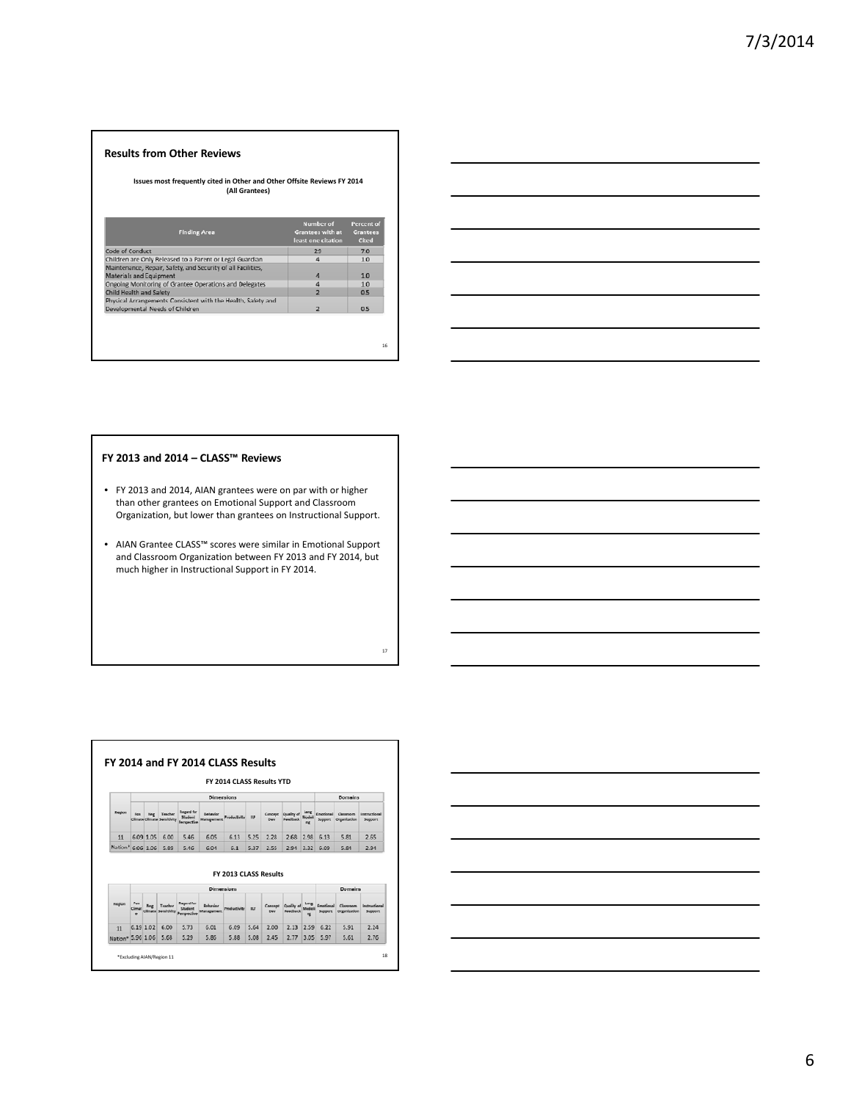# **Results from Other Reviews**

**Issues most frequently cited in Other and Other Offsite Reviews FY 2014 (All Grantees)**

| <b>Finding Area</b>                                                                             | Number of<br><b>Grantees with at</b><br>least one citation | Percent of<br>Grantees<br>Cited |
|-------------------------------------------------------------------------------------------------|------------------------------------------------------------|---------------------------------|
| Code of Conduct                                                                                 | 29                                                         | 7.0                             |
| Children are Only Released to a Parent or Legal Guardian                                        | 4                                                          | 1.0                             |
| Maintenance, Repair, Safety, and Security of all Facilities,<br>Materials and Equipment         | A                                                          | 1.0                             |
| Ongoing Monitoring of Grantee Operations and Delegates                                          | 4                                                          | 1.0                             |
| Child Health and Safety                                                                         | $\overline{2}$                                             | 0.5                             |
| Physical Arrangements Consistent with the Health, Safety and<br>Developmental Needs of Children | $\overline{z}$                                             | 0.5                             |



# **FY 2013 and 2014 – CLASS™ Reviews**

- FY 2013 and 2014, AIAN grantees were on par with or higher than other grantees on Emotional Support and Classroom Organization, but lower than grantees on Instructional Support.
- AIAN Grantee CLASS™ scores were similar in Emotional Support and Classroom Organization between FY 2013 and FY 2014, but much higher in Instructional Support in FY 2014.

17

|                   |     |             |                                      |                                        |                        | FY 2014 CLASS Results YTD    |            |                 |                                 |                   |                            |                                  |                                 |
|-------------------|-----|-------------|--------------------------------------|----------------------------------------|------------------------|------------------------------|------------|-----------------|---------------------------------|-------------------|----------------------------|----------------------------------|---------------------------------|
|                   |     |             |                                      |                                        | Dimensions             |                              |            |                 |                                 |                   |                            | Domains                          |                                 |
| Region            | Pos | <b>Neg</b>  | Teacher<br>Climate Climate Sera Ideb | <b>Regard for</b><br><b>Arsonctive</b> | Debaylor<br>Manapement | <b>Productivity</b>          | <b>ILF</b> | Concept<br>Days | Quality of<br><b>Case/Prack</b> | Lang<br><b>DE</b> | Emprimesi<br>Support       | <b>Classroom</b><br>Organization | <b>Learnurrinnal</b><br>Support |
| 11                |     | 6.09.1.05   | 6.00                                 | 5.46                                   | 6.05                   | 6.13                         | 5.25       | 2.28            | 2.68                            | 2.98              | 6.13                       | 5.81                             | 2.65                            |
|                   |     |             |                                      |                                        |                        |                              |            |                 |                                 |                   |                            |                                  |                                 |
| Nation* 6.06 1.06 |     |             | 5.89                                 | 5.46                                   | 6.04                   | 6.1<br>FY 2013 CLASS Results | 5.37       | 2.55            | 2.94                            | 3.32              | 6.09                       | 5.84                             | 2.94                            |
|                   |     |             |                                      |                                        | Dimensions             |                              |            |                 |                                 |                   |                            | Domains                          |                                 |
| Region            | Pos |             | Teacher<br>Seminivit                 | Regard for<br>Perspective              | Rehauler               | <b>Productivity</b>          | <b>ILT</b> | Concord<br>Des  | Ovality of<br>Exectives         | Lang              | Emailand<br><b>Summert</b> | Classroom<br>Organization        | Instructional<br>Support        |
| 11                |     | $6.19$ 1.02 | 6.00                                 | 5.73                                   | 6.01                   | 6.09                         | 5.64       | 2.00            | $2.13$ 2.59                     |                   | 6.22                       | 5.91                             | 2.24                            |

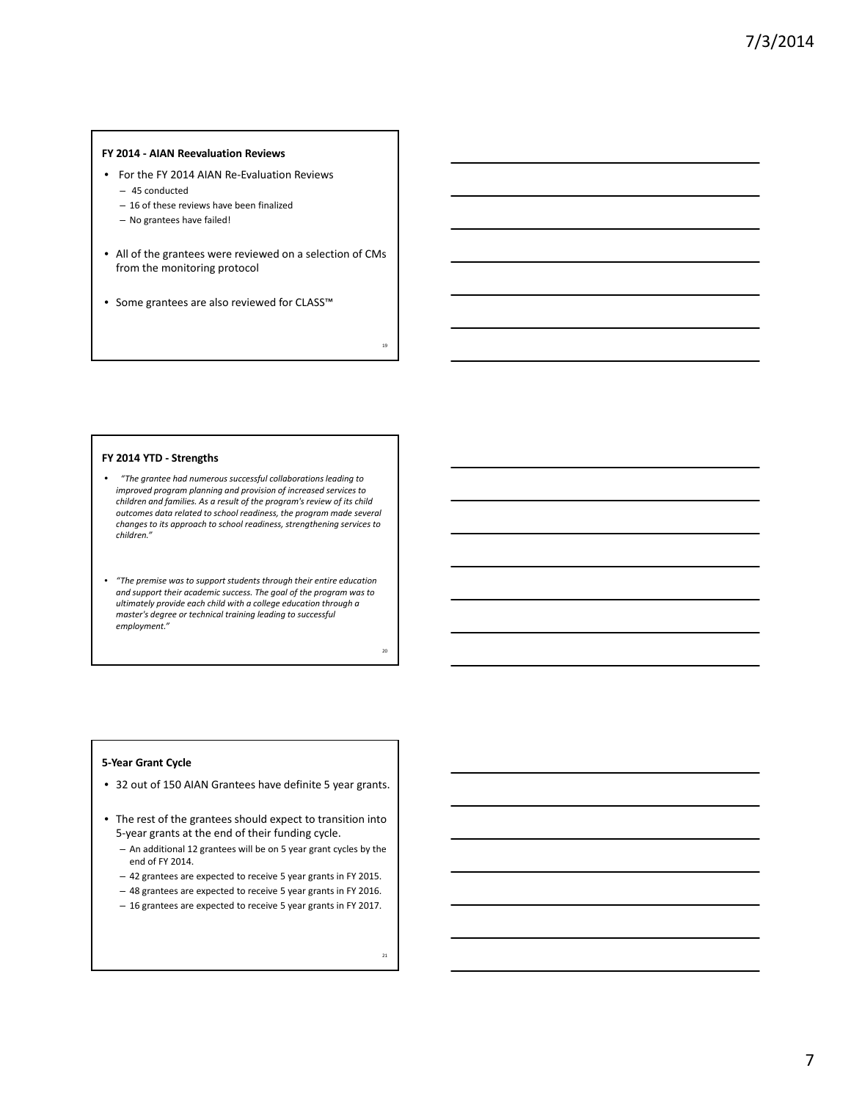#### **FY 2014 ‐ AIAN Reevaluation Reviews**

- For the FY 2014 AIAN Re-Evaluation Reviews
	- 45 conducted
	- 16 of these reviews have been finalized
	- No grantees have failed!
- All of the grantees were reviewed on a selection of CMs from the monitoring protocol
- Some grantees are also reviewed for CLASS™

#### **FY 2014 YTD ‐ Strengths**

- *"The grantee had numerous successful collaborations leading to improved program planning and provision of increased services to children and families. As a result of the program's review of its child outcomes data related to school readiness, the program made several changes to its approach to school readiness, strengthening services to children."*
- *"The premise was to support students through their entire education and support their academic success. The goal of the program was to ultimately provide each child with a college education through a master's degree or technical training leading to successful employment."*

#### **5‐Year Grant Cycle**

- 32 out of 150 AIAN Grantees have definite 5 year grants.
- The rest of the grantees should expect to transition into 5‐year grants at the end of their funding cycle.
	- An additional 12 grantees will be on 5 year grant cycles by the end of FY 2014.
	- 42 grantees are expected to receive 5 year grants in FY 2015.
	- 48 grantees are expected to receive 5 year grants in FY 2016.
	- 16 grantees are expected to receive 5 year grants in FY 2017.

19

20